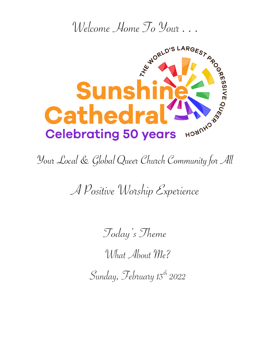

Your Local & Global Queer Church Community for All

A Positive Worship Experience

Today's Theme

What About Me?

Sunday, February 13th 2022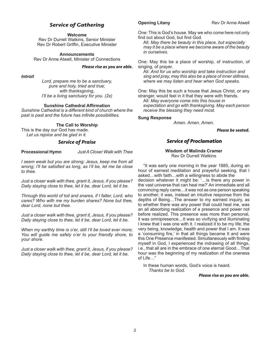### *Service of Gathering*

**Welcome**

Rev Dr Durrell Watkins, Senior Minister Rev Dr Robert Griffin, Executive Minister

**Announcements**  Rev Dr Anne Atwell, Minister of Connections

### *Please rise as you are able.*

*Introit* 

*Lord, prepare me to be a sanctuary, pure and holy, tried and true; with thanksgiving, I'll be a living sanctuary for you. (2x)*

### **Sunshine Cathedral Affirmation**

*Sunshine Cathedral is a different kind of church where the past is past and the future has infinite possibilities.*

**The Call to Worship**

This is the day our God has made. *Let us rejoice and be glad in it.*

### *Service of Praise*

**Processional Hymn** *Just A Closer Walk with Thee*

*I seem weak but you are strong; Jesus, keep me from all wrong; I'll be satisfied as long, as I'll be, let me be close to thee.*

*Just a closer walk with thee, grant it, Jesus, if you please? Daily staying close to thee, let it be, dear Lord, let it be.*

*Through this world of toil and snares, if I falter, Lord, who cares? Who with me my burden shares? None but thee, dear Lord, none but thee.*

*Just a closer walk with thee, grant it, Jesus, if you please? Daily staying close to thee, let it be, dear Lord, let it be.*

*When my earthly time is o'er, still I'll be loved ever more; You will guide me safely o'er to your friendly shore, to your shore.*

*Just a closer walk with thee, grant it, Jesus, if you please? Daily staying close to thee, let it be, dear Lord, let it be.*

**Opening Litany Rev Dr Anne Atwell** 

One: This is God's house. May we who come here not only find out about God, but find God.

All: *May there be beauty in this place, but especially may it be a place where we become aware of the beauty in ourselves.*

One: May this be a place of worship, of instruction, of singing, of prayer.

All: *And for us who worship and take instruction and sing and pray, may this also be a place of inner stillness, where we may listen and hear when God speaks.*

One: May this be such a house that Jesus Christ, or any stranger, would feel in it that they were with friends.

All: *May everyone come into this house in expectation and go with thanksgiving. May each person receive the blessing they need most.*

### **Sung Response**

*Amen. Amen. Amen.*

### *Please be seated.*

### *Service of Proclamation*

**Wisdom of Malinda Cramer** Rev Dr Durrell Watkins

"It was early one morning in the year 1885, during an hour of earnest meditation and prayerful seeking, that I asked…with faith…with a willingness to abide the decision whatever it might be: '…is there any power in the vast universe that can heal me?' An immediate and all convincing reply came…it was not as one person speaking to another; it was, instead an intuitive response from the depths of Being…The answer to my earnest inquiry, as to whether there was any power that could heal me, was an all absorbing realization of a presence and power not before realized. This presence was more than personal, it was omnipresence…It was so vivifying and illuminating I knew that I was one with it. I realized it to be my life; the very being, knowledge, health and power that I am. It was a 'consuming fire,' in that all things became It and were this One Presence manifested. Simultaneously with finding myself in God, I experienced the indrawing of all things, i.e., that all are in the embrace of one eternal Good…That hour was the beginning of my realization of the oneness of Life…"

In these human words, God's voice is heard. *Thanks be to God.*

*Please rise as you are able.*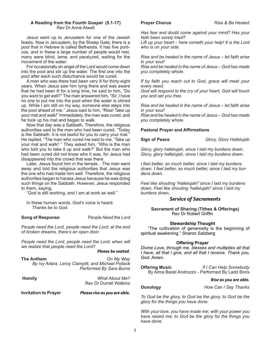### **A Reading from the Fourth Gospel (5.1-17)**  Rev Dr Anne Atwell

Jesus went up to Jerusalem for one of the Jewish feasts. Now in Jerusalem, by the Sheep Gate, there is a pool that in Hebrew is called Bethesda. It has five porticos, and in these a large number of people would rest, many were blind, lame, and paralyzed, waiting for the movement of the water.

For occasionally an angel of the Lord would come down into the pool and stir up the water. The first one into the pool after each such disturbance would be cured.

A man who was there had been very ill for thirty-eight years. When Jesus saw him lying there and was aware that he had been ill for a long time, he said to him, "Do you want to get well?" The man answered him, "Sir, I have no one to put me into the pool when the water is stirred up. While I am still on my way, someone else steps into the pool ahead of me." Jesus said to him, "Rise! Take up your mat and walk!" Immediately, the man was cured, and he took up his mat and began to walk.

Now that day was a Sabbath. Therefore, the religious authorities said to the man who had been cured, "Today is the Sabbath. It is not lawful for you to carry your mat." He replied, "The man who cured me said to me, 'Take up your mat and walk!' " They asked him, "Who is the man who told you to take it up and walk?" But the man who had been cured did not know who it was, for Jesus had disappeared into the crowd that was there.

Later, Jesus found him in the temple…The man went away and told the religious authorities that Jesus was the one who had made him well. Therefore, the religious authorities began to harass Jesus because he was doing such things on the Sabbath. However, Jesus responded to them, saying,

"God is still working, and I am at work as well."

In these human words, God's voice is heard. *Thanks be to God.*

**Song of Response** *People Need the Lord*

*People need the Lord, people need the Lord; at the end of broken dreams, there's an open door.*

*People need the Lord, people need the Lord; when will we realize that people need the Lord?*

### *Please be seated.*

**The Anthem** *On My Way By Ivy Adara, Leroy Clampitt, and Michael Pollack Performed By Sara Burns*

**Homily** *What About Me?* Rev Dr Durrell Watkins

### **Invitation to Prayer** *Please rise as you are able.*

**Prayer Chorus** *Rise & Be Healed*

*Has fear and doubt come against your mind? Has your faith been sorely tried?*

*Lift up your heart – here cometh your help! It is the Lord who is on your side.*

*Rise and be healed in the name of Jesus – let faith arise in your soul!* 

*Rise and be healed in the name of Jesus – God has made you completely whole.*

*If by faith you reach out to God, grace will meet your every need;*

*God will respond to the cry of your heart, God will touch you and set you free.*

*Rise and be healed in the name of Jesus – let faith arise in your soul!* 

*Rise and be healed in the name of Jesus – God has made you completely whole.*

### **Pastoral Prayer and Affirmations**

**Sign of Peace** *Glory, Glory Hallelujah* 

*Glory, glory hallelujah, since I laid my burdens down. Glory, glory hallelujah, since I laid my burdens down.*

*I feel better, so much better, since I laid my burdens down. I feel better, so much better, since I laid my burdens down.*

*Feel like shouting 'Hallelujah!' since I laid my burdens down. Feel like shouting 'hallelujah!' since I laid my burdens down.*

### *Service of Sacraments*

**Sacrament of Sharing (Tithes & Offerings)** Rev Dr Robert Griffin

### **Stewardship Thought**

 "The cultivation of generosity is the beginning of spiritual awakening." Sharon Salzberg

### **Offering Prayer**

*Divine Love, through me, blesses and multiplies all that I have, all that I give, and all that I receive. Thank you, God. Amen.*

**Offering Music** *If I Can Help Somebody* By Alma Bazel Androzzo - Performed By Ladd Boris

### *Rise as you are able.*

**Doxology** *How Can I Say Thanks*

*To God be the glory, to God be the glory, to God be the glory for the things you have done.*

*With your love, you have made me; with your power you have raised me; to God be the glory for the things you have done.*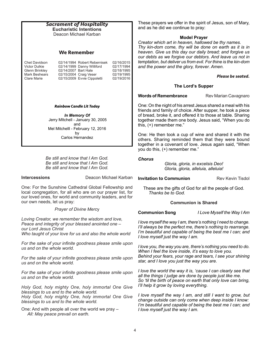| <b>Sacrament of Hospitality</b><br><b>Eucharistic Intentions</b><br>Deacon Michael Karban                                                                                                                                                                           |                                                                    |                                                                                                                                                                                                                                                                                                                                                                                                                                                                                               | These prayers we offer in the spirit of Jesus, son of Mary,<br>and as he did we continue to pray:<br><b>Model Prayer</b><br>Creator which art in heaven, hallowed be thy names. |                            |  |
|---------------------------------------------------------------------------------------------------------------------------------------------------------------------------------------------------------------------------------------------------------------------|--------------------------------------------------------------------|-----------------------------------------------------------------------------------------------------------------------------------------------------------------------------------------------------------------------------------------------------------------------------------------------------------------------------------------------------------------------------------------------------------------------------------------------------------------------------------------------|---------------------------------------------------------------------------------------------------------------------------------------------------------------------------------|----------------------------|--|
| <b>We Remember</b><br><b>Chet Davidson</b><br>02/14/1994 Robert Rebernisek<br><b>Victor Dulkie</b><br>02/14/1999 Danny Williford<br>02/14/2007 Bart Hale<br>Glenn Brinkley<br>Mark Beshears<br>02/15/2004 Craig Veser<br>02/15/2009 Evvie Cippoletti<br>Clare Marie | 02/16/2015<br>02/17/1994<br>02/18/1995<br>02/19/1995<br>02/19/2016 | Thy kin-dom come, thy will be done on earth as it is in<br>heaven. Give us this day our daily bread; and forgive us<br>our debts as we forgive our debtors. And leave us not in<br>temptation, but deliver us from evil. For thine is the kin-dom<br>and the power and the glory, forever. Amen.<br>Please be seated.                                                                                                                                                                         |                                                                                                                                                                                 |                            |  |
|                                                                                                                                                                                                                                                                     |                                                                    | <b>The Lord's Supper</b>                                                                                                                                                                                                                                                                                                                                                                                                                                                                      |                                                                                                                                                                                 |                            |  |
|                                                                                                                                                                                                                                                                     |                                                                    |                                                                                                                                                                                                                                                                                                                                                                                                                                                                                               | <b>Words of Remembrance</b>                                                                                                                                                     | Rev Marian Cavagnaro       |  |
| <b>Rainbow Candle Lit Today</b><br>In Memory Of<br>Jerry MItchell - January 30, 2005<br>and<br>Mel Mitchelll - February 12, 2016<br>by<br>Carlos Hernandez                                                                                                          |                                                                    | One: On the night of his arrest Jesus shared a meal with his<br>friends and family of choice. After supper, he took a piece<br>of bread, broke it, and offered it to those at table. Sharing<br>together made them one body. Jesus said, "When you do<br>this, (+) remember me."<br>One: He then took a cup of wine and shared it with the<br>others. Sharing reminded them that they were bound<br>together in a covenant of love. Jesus again said, "When<br>you do this, (+) remember me." |                                                                                                                                                                                 |                            |  |
| Be still and know that I Am God.<br>Be still and know that I Am God.<br>Be still and know that I Am God.                                                                                                                                                            |                                                                    | <b>Chorus</b>                                                                                                                                                                                                                                                                                                                                                                                                                                                                                 | Gloria, gloria, in excelsis Deo!<br>Gloria, gloria, alleluia, alleluia!                                                                                                         |                            |  |
| Deacon Michael Karban<br><b>Intercessions</b>                                                                                                                                                                                                                       |                                                                    |                                                                                                                                                                                                                                                                                                                                                                                                                                                                                               | <b>Invitation to Communion</b>                                                                                                                                                  | <b>Rev Kevin Tisdol</b>    |  |
| One: For the Sunshine Cathedral Global Fellowship and<br>local congregation, for all who are on our prayer list, for<br>our loved ones, for world and community leaders, and for<br>our own needs, let us pray:                                                     |                                                                    | These are the gifts of God for all the people of God.<br>Thanks be to God.<br><b>Communion is Shared</b>                                                                                                                                                                                                                                                                                                                                                                                      |                                                                                                                                                                                 |                            |  |
| <b>Prayer of Divine Mercy</b>                                                                                                                                                                                                                                       |                                                                    | <b>Communion Song</b>                                                                                                                                                                                                                                                                                                                                                                                                                                                                         |                                                                                                                                                                                 | I Love Myself the Way I Am |  |

*Loving Creator, we remember the wisdom and love, Peace and integrity of your blessed anointed one – our Lord Jesus Christ Who taught of your love for us and also the whole world*

*For the sake of your infinite goodness please smile upon us and on the whole world.*

*For the sake of your infinite goodness please smile upon us and on the whole world.*

*For the sake of your infinite goodness please smile upon us and on the whole world.*

*Holy God, holy mighty One, holy immortal One Give blessings to us and to the whole world. Holy God, holy mighty One, holy immortal One Give* 

*blessings to us and to the whole world.*

One: And with people all over the world we pray – *All: May peace prevail on earth.*

*I love myself the way I am, there's nothing I need to change. I'll always be the perfect me, there's nothing to rearrange. I'm beautiful and capable of being the best me I can; and I love myself just the way I am.*

*I love you, the way you are, there's nothing you need to do. When I feel the love inside, it's easy to love you. Behind your fears, your rage and tears, I see your shining star, and I love you just the way you are.*

*I love the world the way it is, 'cause I can clearly see that all the things I judge are done by people just like me. So 'til the birth of peace on earth that only love can bring, I'll help it grow by loving everything.*

*I love myself the way I am, and still I want to grow, but change outside can only come when deep inside I know: I'm beautiful and capable of being the best me I can; and I love myself just the way I am.*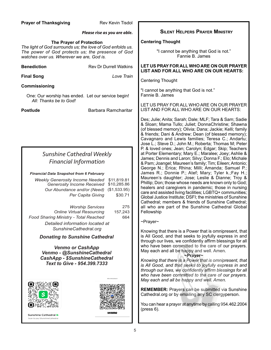| <b>Prayer of Thanksgiving</b>                                                                                                                                                                                                                                                          | <b>Rev Kevin Tisdol</b>                                                                                                                                            |                                                                                                                                                                                                                                                                                                                                                                                                                                                                                                                                                                                                                                                                                                                                                                                    |  |  |
|----------------------------------------------------------------------------------------------------------------------------------------------------------------------------------------------------------------------------------------------------------------------------------------|--------------------------------------------------------------------------------------------------------------------------------------------------------------------|------------------------------------------------------------------------------------------------------------------------------------------------------------------------------------------------------------------------------------------------------------------------------------------------------------------------------------------------------------------------------------------------------------------------------------------------------------------------------------------------------------------------------------------------------------------------------------------------------------------------------------------------------------------------------------------------------------------------------------------------------------------------------------|--|--|
| Please rise as you are able.                                                                                                                                                                                                                                                           |                                                                                                                                                                    | <b>SILENT HELPERS PRAYER MINISTRY</b>                                                                                                                                                                                                                                                                                                                                                                                                                                                                                                                                                                                                                                                                                                                                              |  |  |
| The Prayer of Protection<br>The light of God surrounds us; the love of God enfolds us.<br>The power of God protects us; the presence of God<br>watches over us. Wherever we are, God is.                                                                                               |                                                                                                                                                                    | <b>Centering Thought</b>                                                                                                                                                                                                                                                                                                                                                                                                                                                                                                                                                                                                                                                                                                                                                           |  |  |
|                                                                                                                                                                                                                                                                                        |                                                                                                                                                                    | "I cannot be anything that God is not."<br>Fannie B. James                                                                                                                                                                                                                                                                                                                                                                                                                                                                                                                                                                                                                                                                                                                         |  |  |
| <b>Benediction</b>                                                                                                                                                                                                                                                                     | <b>Rev Dr Durrell Watkins</b>                                                                                                                                      | LET US PRAY FOR ALL WHO ARE ON OUR PRAYER<br>LIST AND FOR ALL WHO ARE ON OUR HEARTS:                                                                                                                                                                                                                                                                                                                                                                                                                                                                                                                                                                                                                                                                                               |  |  |
| <b>Final Song</b><br>Love Train                                                                                                                                                                                                                                                        |                                                                                                                                                                    | <b>Centering Thought</b>                                                                                                                                                                                                                                                                                                                                                                                                                                                                                                                                                                                                                                                                                                                                                           |  |  |
| Commissioning<br>One: Our worship has ended. Let our service begin!<br>All: Thanks be to God!                                                                                                                                                                                          |                                                                                                                                                                    | "I cannot be anything that God is not."                                                                                                                                                                                                                                                                                                                                                                                                                                                                                                                                                                                                                                                                                                                                            |  |  |
|                                                                                                                                                                                                                                                                                        |                                                                                                                                                                    | Fannie B. James<br>LET US PRAY FOR ALL WHO ARE ON OUR PRAYER                                                                                                                                                                                                                                                                                                                                                                                                                                                                                                                                                                                                                                                                                                                       |  |  |
| <b>Postlude</b>                                                                                                                                                                                                                                                                        | Barbara Ramcharitar                                                                                                                                                | LIST AND FOR ALL WHO ARE ON OUR HEARTS:                                                                                                                                                                                                                                                                                                                                                                                                                                                                                                                                                                                                                                                                                                                                            |  |  |
| <b>Sunshine Cathedral Weekly</b><br><b>Financial Information</b>                                                                                                                                                                                                                       |                                                                                                                                                                    | Des; Julie; Anita; Sarah; Dale; MLF; Tara & Sam; Sadie<br>& Sloan; Mama Tullo; Juliet; DonnaChristine; Shawna<br>(of blessed memory); Olivia; Dana; Jackie; Kelli; family<br>& friends; Dani & Andrew; Dean (of blessed memory);<br>Cavagnaro and Lewis families; Teresa C.; Andartu;<br>Jose L.; Steve D.; John M.; Roberta; Thomas M; Peter<br>P. & loved ones; Jean; Carolyn; Edgar; Skip; Teachers<br>at Porter Elementary; Mary E.; Maralee; Joey; Ashlie &<br>James; Dennis and Laron; Silvy; Donna F.; Elo; Michale<br>& Pam; Joangel; Maureen's family; Tim; Eileen; Antonio;<br>George N.; Erica; Rhina; Milli; Amanda; Samuel P.;                                                                                                                                        |  |  |
| <b>Financial Data Snapshot from 6 February</b><br><b>Weekly Generosity Income Needed</b><br><b>Generosity Income Received</b><br>Our Abundance and/or (Need)<br>Food Sharing Ministry - Total Reached<br>Detailed information located at                                               | \$11,819.81<br>\$10,285.86<br>(\$1,533.95)<br>\$30.71<br>Per Capita Giving<br><b>Worship Services</b><br>275<br><b>Online Virtual Resourcing</b><br>157,243<br>664 | James R.; Donnie P.; Atef; Mary; Tyler k.; Fay H.;<br>Maureen's daughter; Jose; Leslie & Dianne; Troy &<br>Phillip; Don; those whose needs are known only to God;<br>healers and caregivers in pandemic; those in nursing<br>care and assisted living facilities; LGBTQ+ communities;<br>Global Justice Institute; DSFI; the ministries of Sunshine<br>Cathedral; members & friends of Sunshine Cathedral;<br>all who are part of the Sunshine Cathedral Global<br>Fellowship<br>$\sim$ Prayer $\sim$                                                                                                                                                                                                                                                                              |  |  |
| SunshineCathedral.org<br><b>Donating to Sunshine Cathedral</b><br><b>Venmo or CashApp</b><br>Venmo - @SunshineCathedral<br>CashApp - \$SunshineCathedral<br>Text to Give - 954.399.7333<br>@SunshineCathedral<br>venmo<br>Sunshine Cathedral ⊞<br>Scan to pay \$SunshineCathedral<br>5 |                                                                                                                                                                    | Knowing that there is a Power that is omnipresent, that<br>is All Good, and that seeks to joyfully express in and<br>through our lives, we confidently affirm blessings for all<br>who have been committed to the care of our prayers.<br>May each and all be happy and well. Amen.<br>~Prayer~<br>Knowing that there is a Power that is omnipresent, that<br>is All Good, and that seeks to joyfully express in and<br>through our lives, we confidently affirm blessings for all<br>who have been committed to the care of our prayers.<br>May each and all be happy and well. Amen.<br><b>REMEMBER:</b> Prayers can be submitted via Sunshine<br>Cathedral.org or by emailing any SC clergyperson.<br>You can hear a prayer at anytime by calling 954.462.2004<br>$(press 6)$ . |  |  |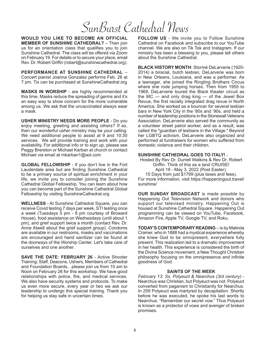# SunBurst Cathedral News

**WOULD YOU LIKE TO BECOME AN OFFICIAL MEMBER OF SUNSHINE CATHEDRAL?** – Then join us for an orientation class that qualifies you to join Sunshine Cathedral. The class will be offered via Zoom on February 19. For details or to secure your place, email Rev. Dr. Robert Griffin (robert@sunshinecathedral.org).

**PERFORMANCE AT SUNSHINE CATHEDRAL** – Concert pianist Joanna Gonzalez performs Feb. 26 at 7 pm. Tix can be purchased at SunshineCathedral.org

**MASKS IN WORSHIP** - are highly recommended at this time. Masks reduce the spreading of germs and it's an easy way to show concern for the more vulnerable among us. We ask that the unvaccinated always wear a mask.

**USHER MINISTRY NEEDS MORE PEOPLE** - Do you enjoy meeting, greeting and assisting others? If so, then our wonderful usher ministry may be your calling. We need additional people to assist at 9 and 10:30 services. We will provide training and work with your availability. For additional info or to sign up, please see Peggy Brereton or Michael Karban at church or contact Michael via email at mkarban1@aol.com

**GLOBAL FELLOWSHIP** - If you don't live in the Fort Lauderdale area but are finding Sunshine Cathedral to be a primary source of spiritual enrichment in your life, we invite you to consider joining the Sunshine Cathedral Global Fellowship. You can learn about how you can become part of the Sunshine Cathedral Global Fellowship by visiting SunshineCathedral.org

**WELLNESS** - At Sunshine Cathedral Square, you can receive Covid testing 7 days per week, STI testing once a week (Tuesdays 5 pm - 8 pm courtesy of Broward House), food assistance on Wednesdays (until about 1 pm), and grief support twice a month (contact Rev. Dr. Anne Atwell about the grief support group). Condoms are available in our restrooms, masks and vaccinations are encouraged and hand sanitizer can be found at the doorways of the Worship Center. Let's take care of ourselves and one another.

**SAVE THE DATE: FEBRUARY 26** - Active Shooter Training: Staff, Deacons, Ushers, Members of Cathedral and Foundation Boards…please join us from 10 am to Noon on February 26 for this workshop. We have good relationships with police, fire, and medical services. We also have security systems and protocols. To make us even more secure, every year or two we ask our leadership to undergo this special training. Thank you for helping us stay safe in uncertain times.

**FOLLOW US** - We invite you to Follow Sunshine Cathedral on Facebook and subscribe to our YouTube channel. We are also on Tik Tok and Instagram. If our ministry has been a blessing to you, please tell others about the Sunshine Cathedral.

**BLACK HISTORY MONTH**: Stormé DeLarverie (1920- 2014) a biracial, butch lesbian, DeLarverie was born in New Orleans, Louisiana, and was a performer. As a teenager, she joined the Ringling Brothers Circus where she rode jumping horses. Then from 1955 to 1969, DeLarverie toured the Black theater circuit as the  $MC$  — and only drag king — of the Jewel Box Revue, the first racially integrated drag revue in North America. She worked as a bouncer for several lesbian bars in New York City in the '80s and '90s, and held a number of leadership positions in the Stonewall Veterans Association. DeLarverie also served the community as a volunteer street patrol worker, and as a result, was called the "guardian of lesbians in the Village." Beyond her LGBTQ activism, DeLarverie also organized and performed at fundraisers for women who suffered from domestic violence and their children.

### **SUNSHINE CATHEDRAL GOES TO ITALY!** -

Hosted By Rev Dr. Durrell Watkins & Rev Dr. Robert Griffin. Think of this as a land CRUISE! April 19 - May 3, 2022 (Post Easter). 15 Days from just \$1799 (plus taxes and fees). For more information, visit https://happeningout.travel/ sunshine/

**OUR SUNDAY BROADCAST** is made possible by Happening Out Television Network and donors who support our televised ministry. Happening Out is housed at Sunshine Cathedral Square. Happening Out programming can be viewed on YouTube, Facebook, Amazon Fire, Apple TV, Google TV, and Roku.

**TODAY'S CONTEMPORARY READING** – is by Malinda Cramer, who in 1888 had a mystical experience whereby she knew God to be omnipresent, everywhere fully present. This realization led to a dramatic improvement in her health. This experience is considered the birth of the Divine Science movement, a New Thought Christian philosophy focusing on the omnipresence and infinite goodness of God.

### **SAINTS OF THE WEEK**

*February 13: Ss. Polyeuct & Nearchus (3rd century)* - Nearchus was Christian, but Polyeuct was not. Polyeuct converted from paganism to Christianity for Nearchus. In 259 Polyeuct was martyred by decapitation. Shortly before he was executed, he spoke his last words to Nearchus: "Remember our secret vow." Thus Polyeuct is known as a protector of vows and avenger of broken promises.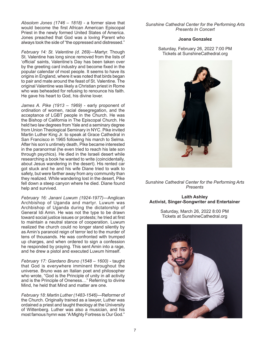*Absolom Jones (1746 – 1818)* - a former slave that would become the first African American Episcopal Priest in the newly formed United States of America. Jones preached that God was a loving Parent who always took the side of "the oppressed and distressed."

*February 14: St. Valentine (d. 269)*—Martyr. Though St. Valentine has long since removed from the lists of 'official' saints, Valentine's Day has been taken over by the greeting card industry and become fixed in the popular calendar of most people. It seems to have its origins in England, where it was noted that birds began to pair and mate around the feast of St. Valentine. The original Valentine was likely a Christian priest in Rome who was beheaded for refusing to renounce his faith. He gave his heart to God, his divine lover.

*James A. Pike (1913 – 1969)* - early proponent of ordination of women, racial desegregation, and the acceptance of LGBT people in the Church. He was the Bishop of California in The Episcopal Church. He held two law degrees from Yale and a seminary degree from Union Theological Seminary in NYC. Pike invited Martin Luther King Jr. to speak at Grace Cathedral in San Francisco in 1965 following his march to Selma. After his son's untimely death, Pike became interested in the paranormal (he even tried to reach his late son through psychics). He died in the Israeli desert while researching a book he wanted to write (coincidentally, about Jesus wandering in the desert). His rented car got stuck and he and his wife Diane tried to walk to safety, but were farther away from any community than they realized. While wandering lost in the desert, Pike fell down a steep canyon where he died. Diane found help and survived.

*February 16: Janani Luwum (1924-1977)*—Anglican Archbishop of Uganda and martyr. Luwum was Archbishop of Uganda during the dictatorship of General Idi Amin. He was not the type to be drawn toward social justice issues or protests; he tried at first to maintain a neutral stance of cooperation. Luwum realized the church could no longer stand silently by as Amin's paranoid reign of terror led to the murder of tens of thousands. He was confronted with trumped up charges, and when ordered to sign a confession he responded by praying. This sent Amin into a rage, and he drew a pistol and executed Luwum himself.

*February 17: Giardano Bruno (1548 – 1600)* - taught that God is everywhere imminent throughout the universe. Bruno was an Italian poet and philosopher who wrote, "God is the Principle of unity in all activity and is the Principle of Oneness…" Referring to divine Mind, he held that Mind and matter are one.

*February 18: Martin Luther (1483-1546)*—Reformer of the Church. Originally trained as a lawyer, Luther was ordained a priest and taught theology at the University of Wittenberg. Luther was also a musician, and his most famous hymn was "A Mighty Fortress is Our God."

*Sunshine Cathedral Center for the Performing Arts Presents In Concert*

### **Joana Gonzalez**

Saturday, February 26, 2022 7:00 PM Tickets at SunshineCathedral.org



### *Sunshine Cathedral Center for the Performing Arts Presents*

### **Laith Ashley Activist, Singer-Songwriter and Entertainer**

Saturday, March 26, 2022 8:00 PM Tickets at SunshineCathedral.org